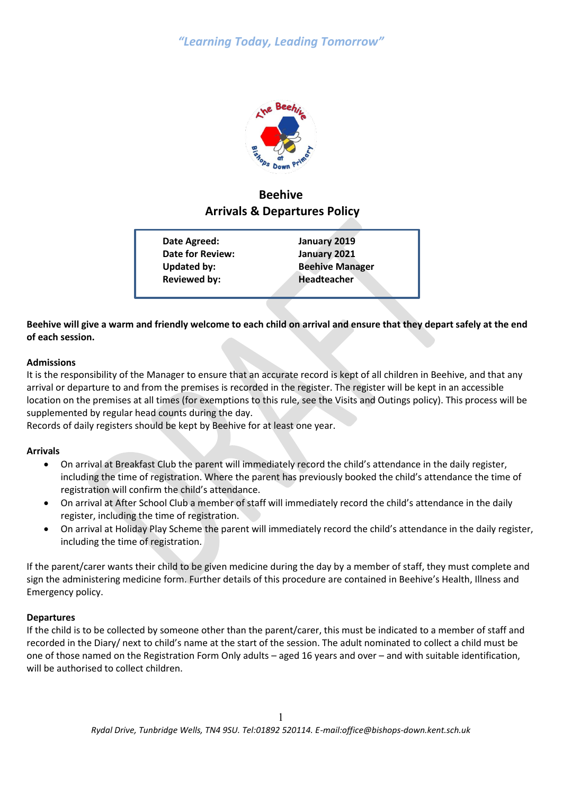

# **Beehive Arrivals & Departures Policy**

**Date Agreed: January 2019 Date for Review: January 2021 Updated by: Beehive Manager Reviewed by: Headteacher**

### **Beehive will give a warm and friendly welcome to each child on arrival and ensure that they depart safely at the end of each session.**

#### **Admissions**

It is the responsibility of the Manager to ensure that an accurate record is kept of all children in Beehive, and that any arrival or departure to and from the premises is recorded in the register. The register will be kept in an accessible location on the premises at all times (for exemptions to this rule, see the Visits and Outings policy). This process will be supplemented by regular head counts during the day.

Records of daily registers should be kept by Beehive for at least one year.

#### **Arrivals**

- On arrival at Breakfast Club the parent will immediately record the child's attendance in the daily register, including the time of registration. Where the parent has previously booked the child's attendance the time of registration will confirm the child's attendance.
- On arrival at After School Club a member of staff will immediately record the child's attendance in the daily register, including the time of registration.
- On arrival at Holiday Play Scheme the parent will immediately record the child's attendance in the daily register, including the time of registration.

If the parent/carer wants their child to be given medicine during the day by a member of staff, they must complete and sign the administering medicine form. Further details of this procedure are contained in Beehive's Health, Illness and Emergency policy.

#### **Departures**

If the child is to be collected by someone other than the parent/carer, this must be indicated to a member of staff and recorded in the Diary/ next to child's name at the start of the session. The adult nominated to collect a child must be one of those named on the Registration Form Only adults – aged 16 years and over – and with suitable identification, will be authorised to collect children.